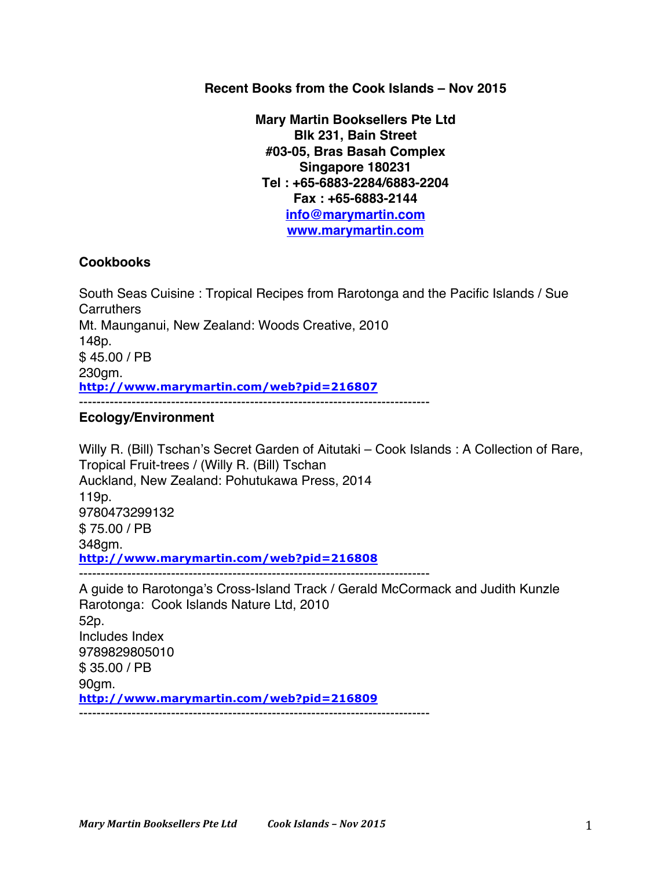**Recent Books from the Cook Islands – Nov 2015**

**Mary Martin Booksellers Pte Ltd Blk 231, Bain Street #03-05, Bras Basah Complex Singapore 180231 Tel : +65-6883-2284/6883-2204 Fax : +65-6883-2144 info@marymartin.com www.marymartin.com**

### **Cookbooks**

South Seas Cuisine : Tropical Recipes from Rarotonga and the Pacific Islands / Sue **Carruthers** Mt. Maunganui, New Zealand: Woods Creative, 2010 148p. \$ 45.00 / PB 230gm. **http://www.marymartin.com/web?pid=216807** --------------------------------------------------------------------------------

### **Ecology/Environment**

Willy R. (Bill) Tschan's Secret Garden of Aitutaki – Cook Islands : A Collection of Rare, Tropical Fruit-trees / (Willy R. (Bill) Tschan Auckland, New Zealand: Pohutukawa Press, 2014 119p. 9780473299132 \$ 75.00 / PB 348gm. **http://www.marymartin.com/web?pid=216808** -------------------------------------------------------------------------------- A guide to Rarotonga's Cross-Island Track / Gerald McCormack and Judith Kunzle Rarotonga: Cook Islands Nature Ltd, 2010 52p.

Includes Index 9789829805010 \$ 35.00 / PB 90gm. **http://www.marymartin.com/web?pid=216809** --------------------------------------------------------------------------------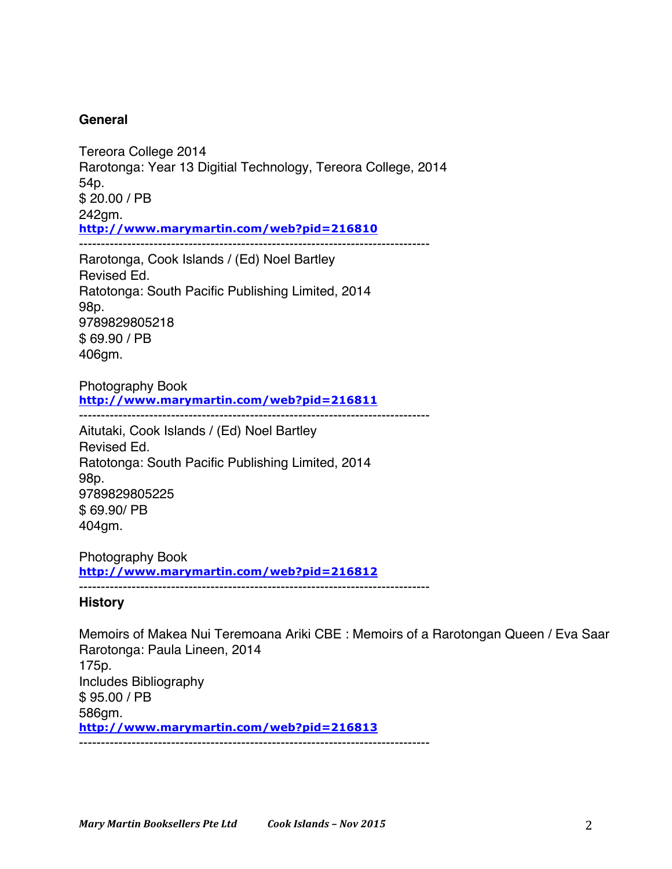## **General**

Tereora College 2014 Rarotonga: Year 13 Digitial Technology, Tereora College, 2014 54p. \$ 20.00 / PB 242gm. **http://www.marymartin.com/web?pid=216810** --------------------------------------------------------------------------------

Rarotonga, Cook Islands / (Ed) Noel Bartley Revised Ed. Ratotonga: South Pacific Publishing Limited, 2014 98p. 9789829805218 \$ 69.90 / PB 406gm.

Photography Book **http://www.marymartin.com/web?pid=216811**

--------------------------------------------------------------------------------

Aitutaki, Cook Islands / (Ed) Noel Bartley Revised Ed. Ratotonga: South Pacific Publishing Limited, 2014 98p. 9789829805225 \$ 69.90/ PB 404gm.

Photography Book **http://www.marymartin.com/web?pid=216812** --------------------------------------------------------------------------------

### **History**

Memoirs of Makea Nui Teremoana Ariki CBE : Memoirs of a Rarotongan Queen / Eva Saar Rarotonga: Paula Lineen, 2014 175p. Includes Bibliography \$ 95.00 / PB 586gm. **http://www.marymartin.com/web?pid=216813** --------------------------------------------------------------------------------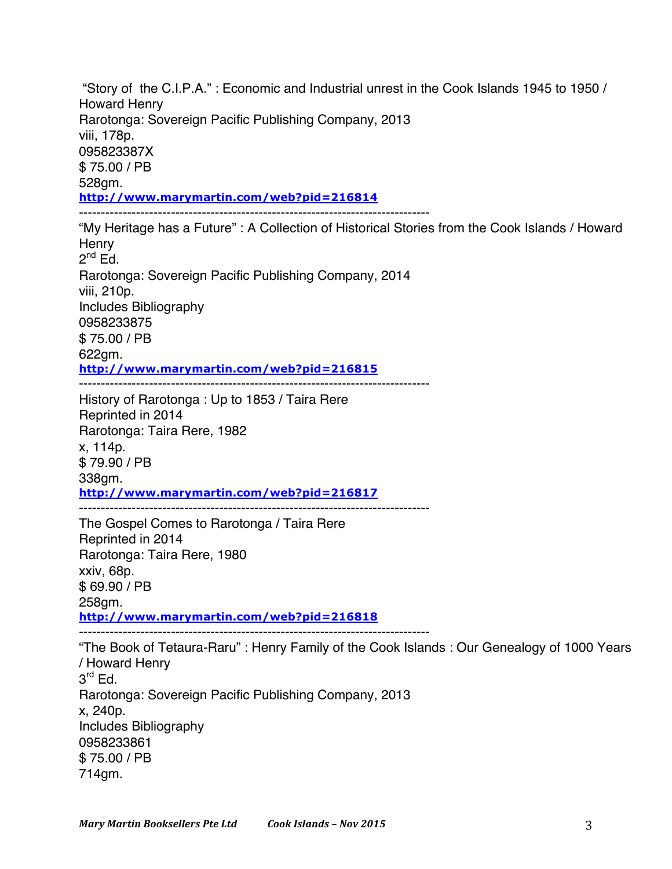"Story of the C.I.P.A." : Economic and Industrial unrest in the Cook Islands 1945 to 1950 / Howard Henry Rarotonga: Sovereign Pacific Publishing Company, 2013 viii, 178p. 095823387X \$ 75.00 / PB 528gm. **http://www.marymartin.com/web?pid=216814** -------------------------------------------------------------------------------- "My Heritage has a Future" : A Collection of Historical Stories from the Cook Islands / Howard **Henry**  $2^{nd}$  Ed. Rarotonga: Sovereign Pacific Publishing Company, 2014 viii, 210p. Includes Bibliography 0958233875 \$ 75.00 / PB 622gm. **http://www.marymartin.com/web?pid=216815** -------------------------------------------------------------------------------- History of Rarotonga : Up to 1853 / Taira Rere Reprinted in 2014 Rarotonga: Taira Rere, 1982 x, 114p. \$ 79.90 / PB 338gm. **http://www.marymartin.com/web?pid=216817** -------------------------------------------------------------------------------- The Gospel Comes to Rarotonga / Taira Rere Reprinted in 2014 Rarotonga: Taira Rere, 1980 xxiv, 68p. \$ 69.90 / PB 258gm. **http://www.marymartin.com/web?pid=216818** -------------------------------------------------------------------------------- "The Book of Tetaura-Raru" : Henry Family of the Cook Islands : Our Genealogy of 1000 Years / Howard Henry  $3<sup>rd</sup>$  Ed. Rarotonga: Sovereign Pacific Publishing Company, 2013 x, 240p. Includes Bibliography 0958233861 \$ 75.00 / PB 714gm.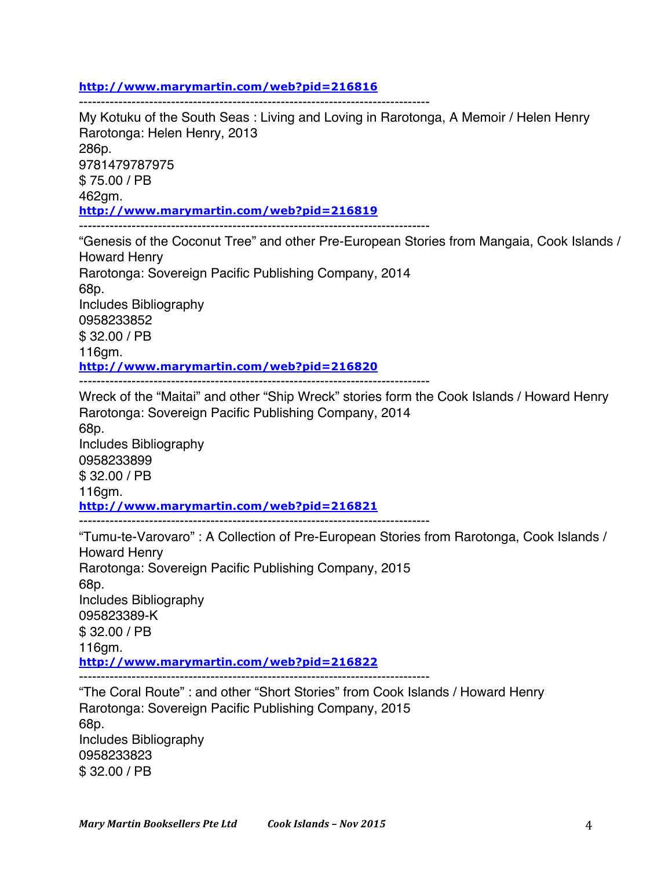#### **http://www.marymartin.com/web?pid=216816**

--------------------------------------------------------------------------------

My Kotuku of the South Seas : Living and Loving in Rarotonga, A Memoir / Helen Henry Rarotonga: Helen Henry, 2013 286p. 9781479787975 \$ 75.00 / PB 462gm. **http://www.marymartin.com/web?pid=216819** --------------------------------------------------------------------------------

"Genesis of the Coconut Tree" and other Pre-European Stories from Mangaia, Cook Islands / Howard Henry Rarotonga: Sovereign Pacific Publishing Company, 2014 68p. Includes Bibliography 0958233852 \$ 32.00 / PB 116gm. **http://www.marymartin.com/web?pid=216820** --------------------------------------------------------------------------------

Wreck of the "Maitai" and other "Ship Wreck" stories form the Cook Islands / Howard Henry Rarotonga: Sovereign Pacific Publishing Company, 2014 68p. Includes Bibliography 0958233899 \$ 32.00 / PB 116gm. **http://www.marymartin.com/web?pid=216821** --------------------------------------------------------------------------------

"Tumu-te-Varovaro" : A Collection of Pre-European Stories from Rarotonga, Cook Islands / Howard Henry Rarotonga: Sovereign Pacific Publishing Company, 2015 68p. Includes Bibliography 095823389-K \$ 32.00 / PB 116gm. **http://www.marymartin.com/web?pid=216822** -------------------------------------------------------------------------------- "The Coral Route" : and other "Short Stories" from Cook Islands / Howard Henry

Rarotonga: Sovereign Pacific Publishing Company, 2015 68p. Includes Bibliography 0958233823 \$ 32.00 / PB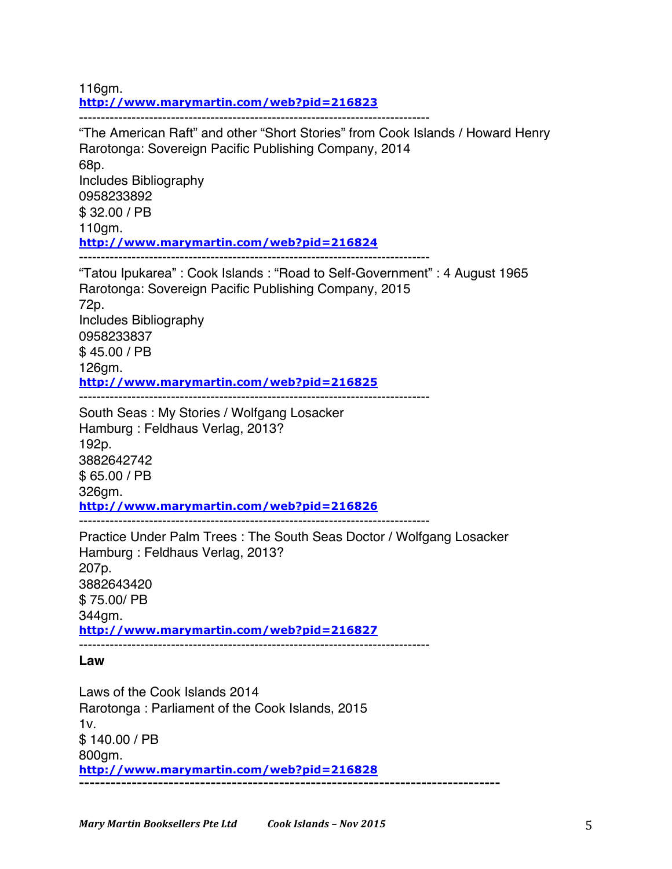116gm. **http://www.marymartin.com/web?pid=216823**

-------------------------------------------------------------------------------- "The American Raft" and other "Short Stories" from Cook Islands / Howard Henry Rarotonga: Sovereign Pacific Publishing Company, 2014 68p. Includes Bibliography 0958233892 \$ 32.00 / PB 110gm. **http://www.marymartin.com/web?pid=216824** -------------------------------------------------------------------------------- "Tatou Ipukarea" : Cook Islands : "Road to Self-Government" : 4 August 1965 Rarotonga: Sovereign Pacific Publishing Company, 2015 72p. Includes Bibliography 0958233837 \$ 45.00 / PB 126gm. **http://www.marymartin.com/web?pid=216825** -------------------------------------------------------------------------------- South Seas : My Stories / Wolfgang Losacker Hamburg : Feldhaus Verlag, 2013? 192p. 3882642742

326gm. **http://www.marymartin.com/web?pid=216826**

--------------------------------------------------------------------------------

Practice Under Palm Trees : The South Seas Doctor / Wolfgang Losacker Hamburg : Feldhaus Verlag, 2013? 207p. 3882643420 \$ 75.00/ PB 344gm. **http://www.marymartin.com/web?pid=216827** --------------------------------------------------------------------------------

**Law**

\$ 65.00 / PB

Laws of the Cook Islands 2014 Rarotonga : Parliament of the Cook Islands, 2015  $1v.$ \$ 140.00 / PB 800gm. **http://www.marymartin.com/web?pid=216828 --------------------------------------------------------------------------------**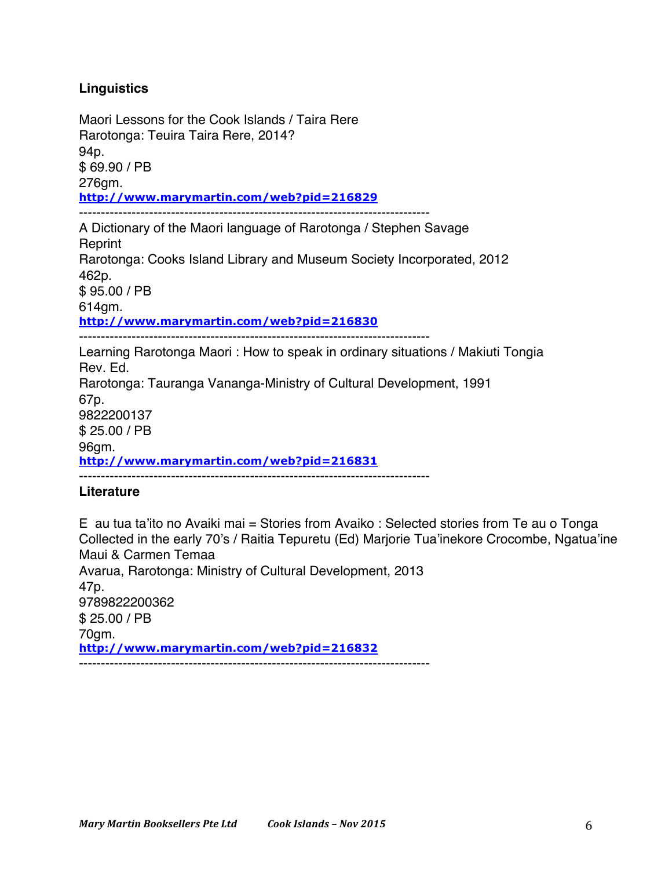# **Linguistics**

Maori Lessons for the Cook Islands / Taira Rere Rarotonga: Teuira Taira Rere, 2014? 94p. \$ 69.90 / PB 276gm. **http://www.marymartin.com/web?pid=216829** --------------------------------------------------------------------------------

A Dictionary of the Maori language of Rarotonga / Stephen Savage **Reprint** Rarotonga: Cooks Island Library and Museum Society Incorporated, 2012 462p. \$ 95.00 / PB 614gm. **http://www.marymartin.com/web?pid=216830** --------------------------------------------------------------------------------

Learning Rarotonga Maori : How to speak in ordinary situations / Makiuti Tongia Rev. Ed. Rarotonga: Tauranga Vananga-Ministry of Cultural Development, 1991 67p. 9822200137 \$ 25.00 / PB 96gm. **http://www.marymartin.com/web?pid=216831** --------------------------------------------------------------------------------

## **Literature**

E au tua ta'ito no Avaiki mai = Stories from Avaiko : Selected stories from Te au o Tonga Collected in the early 70's / Raitia Tepuretu (Ed) Marjorie Tua'inekore Crocombe, Ngatua'ine Maui & Carmen Temaa Avarua, Rarotonga: Ministry of Cultural Development, 2013 47p. 9789822200362 \$ 25.00 / PB 70gm. **http://www.marymartin.com/web?pid=216832**